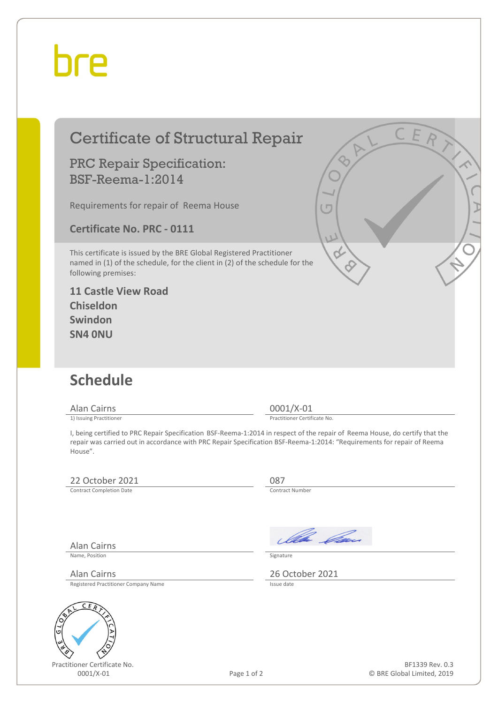# hre

# Certificate of Structural Repair

### PRC Repair Specification: BSF-Reema-1:2014

Requirements for repair of Reema House

**Certificate No. PRC - 0111**

This certificate is issued by the BRE Global Registered Practitioner named in (1) of the schedule, for the client in (2) of the schedule for the following premises:

#### **11 Castle View Road Chiseldon Swindon SN4 0NU**

## **Schedule**

Alan Cairns 0001/X-01<br>
1) Issuing Practitioner<br>
1) Issuing Practitioner

Practitioner Certificate No.

I, being certified to PRC Repair Specification BSF-Reema-1:2014 in respect of the repair of Reema House, do certify that the repair was carried out in accordance with PRC Repair Specification BSF-Reema-1:2014: "Requirements for repair of Reema House".

### 22 October 2021 087<br>
Contract Completion Date

Contract Completion Date

Alan Cairns

Name, Position Signature

Registered Practitioner Company Name



Practitioner Certificate No.

Ila *Ca*s

Alan Cairns 2021<br>Registered Practitioner Company Name<br>Registered Practitioner Company Name